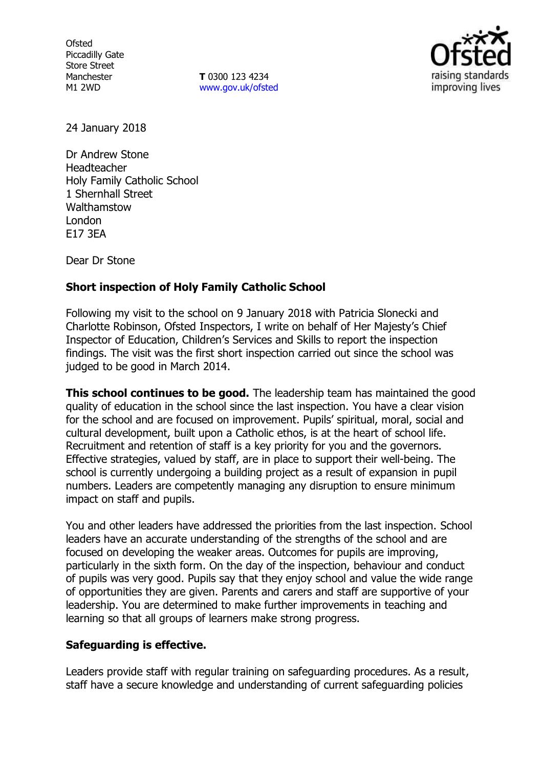**Ofsted** Piccadilly Gate Store Street Manchester M1 2WD

**T** 0300 123 4234 [www.gov.uk/ofsted](http://www.gov.uk/ofsted)



24 January 2018

Dr Andrew Stone Headteacher Holy Family Catholic School 1 Shernhall Street Walthamstow London E17 3EA

Dear Dr Stone

# **Short inspection of Holy Family Catholic School**

Following my visit to the school on 9 January 2018 with Patricia Slonecki and Charlotte Robinson, Ofsted Inspectors, I write on behalf of Her Majesty's Chief Inspector of Education, Children's Services and Skills to report the inspection findings. The visit was the first short inspection carried out since the school was judged to be good in March 2014.

**This school continues to be good.** The leadership team has maintained the good quality of education in the school since the last inspection. You have a clear vision for the school and are focused on improvement. Pupils' spiritual, moral, social and cultural development, built upon a Catholic ethos, is at the heart of school life. Recruitment and retention of staff is a key priority for you and the governors. Effective strategies, valued by staff, are in place to support their well-being. The school is currently undergoing a building project as a result of expansion in pupil numbers. Leaders are competently managing any disruption to ensure minimum impact on staff and pupils.

You and other leaders have addressed the priorities from the last inspection. School leaders have an accurate understanding of the strengths of the school and are focused on developing the weaker areas. Outcomes for pupils are improving, particularly in the sixth form. On the day of the inspection, behaviour and conduct of pupils was very good. Pupils say that they enjoy school and value the wide range of opportunities they are given. Parents and carers and staff are supportive of your leadership. You are determined to make further improvements in teaching and learning so that all groups of learners make strong progress.

# **Safeguarding is effective.**

Leaders provide staff with regular training on safeguarding procedures. As a result, staff have a secure knowledge and understanding of current safeguarding policies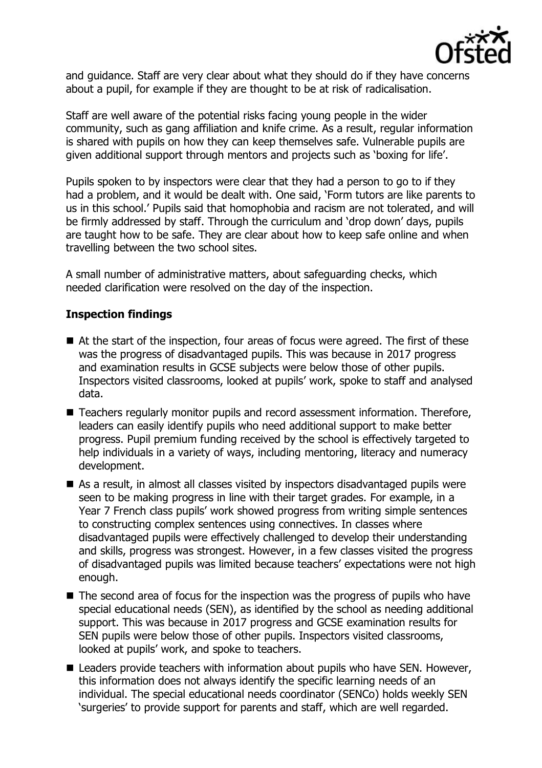

and guidance. Staff are very clear about what they should do if they have concerns about a pupil, for example if they are thought to be at risk of radicalisation.

Staff are well aware of the potential risks facing young people in the wider community, such as gang affiliation and knife crime. As a result, regular information is shared with pupils on how they can keep themselves safe. Vulnerable pupils are given additional support through mentors and projects such as 'boxing for life'.

Pupils spoken to by inspectors were clear that they had a person to go to if they had a problem, and it would be dealt with. One said, 'Form tutors are like parents to us in this school.' Pupils said that homophobia and racism are not tolerated, and will be firmly addressed by staff. Through the curriculum and 'drop down' days, pupils are taught how to be safe. They are clear about how to keep safe online and when travelling between the two school sites.

A small number of administrative matters, about safeguarding checks, which needed clarification were resolved on the day of the inspection.

# **Inspection findings**

- At the start of the inspection, four areas of focus were agreed. The first of these was the progress of disadvantaged pupils. This was because in 2017 progress and examination results in GCSE subjects were below those of other pupils. Inspectors visited classrooms, looked at pupils' work, spoke to staff and analysed data.
- Teachers regularly monitor pupils and record assessment information. Therefore, leaders can easily identify pupils who need additional support to make better progress. Pupil premium funding received by the school is effectively targeted to help individuals in a variety of ways, including mentoring, literacy and numeracy development.
- As a result, in almost all classes visited by inspectors disadvantaged pupils were seen to be making progress in line with their target grades. For example, in a Year 7 French class pupils' work showed progress from writing simple sentences to constructing complex sentences using connectives. In classes where disadvantaged pupils were effectively challenged to develop their understanding and skills, progress was strongest. However, in a few classes visited the progress of disadvantaged pupils was limited because teachers' expectations were not high enough.
- The second area of focus for the inspection was the progress of pupils who have special educational needs (SEN), as identified by the school as needing additional support. This was because in 2017 progress and GCSE examination results for SEN pupils were below those of other pupils. Inspectors visited classrooms, looked at pupils' work, and spoke to teachers.
- Leaders provide teachers with information about pupils who have SEN. However, this information does not always identify the specific learning needs of an individual. The special educational needs coordinator (SENCo) holds weekly SEN 'surgeries' to provide support for parents and staff, which are well regarded.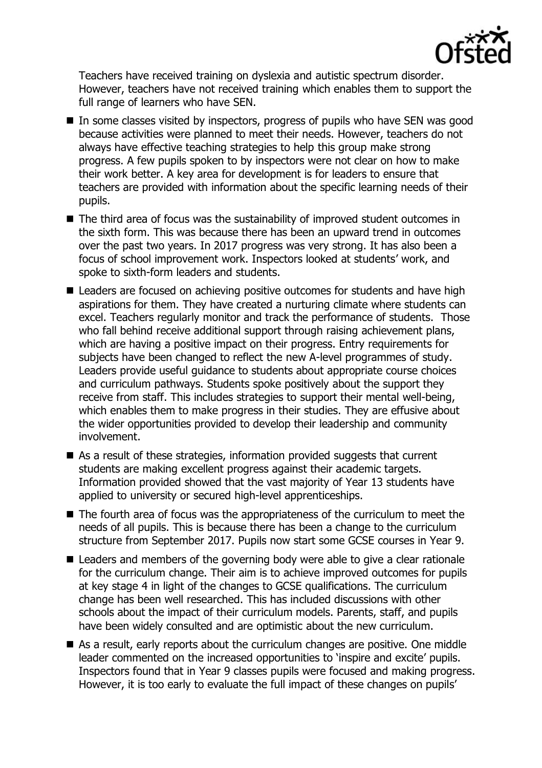

Teachers have received training on dyslexia and autistic spectrum disorder. However, teachers have not received training which enables them to support the full range of learners who have SEN.

- $\blacksquare$  In some classes visited by inspectors, progress of pupils who have SEN was good because activities were planned to meet their needs. However, teachers do not always have effective teaching strategies to help this group make strong progress. A few pupils spoken to by inspectors were not clear on how to make their work better. A key area for development is for leaders to ensure that teachers are provided with information about the specific learning needs of their pupils.
- The third area of focus was the sustainability of improved student outcomes in the sixth form. This was because there has been an upward trend in outcomes over the past two years. In 2017 progress was very strong. It has also been a focus of school improvement work. Inspectors looked at students' work, and spoke to sixth-form leaders and students.
- Leaders are focused on achieving positive outcomes for students and have high aspirations for them. They have created a nurturing climate where students can excel. Teachers regularly monitor and track the performance of students. Those who fall behind receive additional support through raising achievement plans, which are having a positive impact on their progress. Entry requirements for subjects have been changed to reflect the new A-level programmes of study. Leaders provide useful guidance to students about appropriate course choices and curriculum pathways. Students spoke positively about the support they receive from staff. This includes strategies to support their mental well-being, which enables them to make progress in their studies. They are effusive about the wider opportunities provided to develop their leadership and community involvement.
- As a result of these strategies, information provided suggests that current students are making excellent progress against their academic targets. Information provided showed that the vast majority of Year 13 students have applied to university or secured high-level apprenticeships.
- The fourth area of focus was the appropriateness of the curriculum to meet the needs of all pupils. This is because there has been a change to the curriculum structure from September 2017. Pupils now start some GCSE courses in Year 9.
- Leaders and members of the governing body were able to give a clear rationale for the curriculum change. Their aim is to achieve improved outcomes for pupils at key stage 4 in light of the changes to GCSE qualifications. The curriculum change has been well researched. This has included discussions with other schools about the impact of their curriculum models. Parents, staff, and pupils have been widely consulted and are optimistic about the new curriculum.
- As a result, early reports about the curriculum changes are positive. One middle leader commented on the increased opportunities to 'inspire and excite' pupils. Inspectors found that in Year 9 classes pupils were focused and making progress. However, it is too early to evaluate the full impact of these changes on pupils'